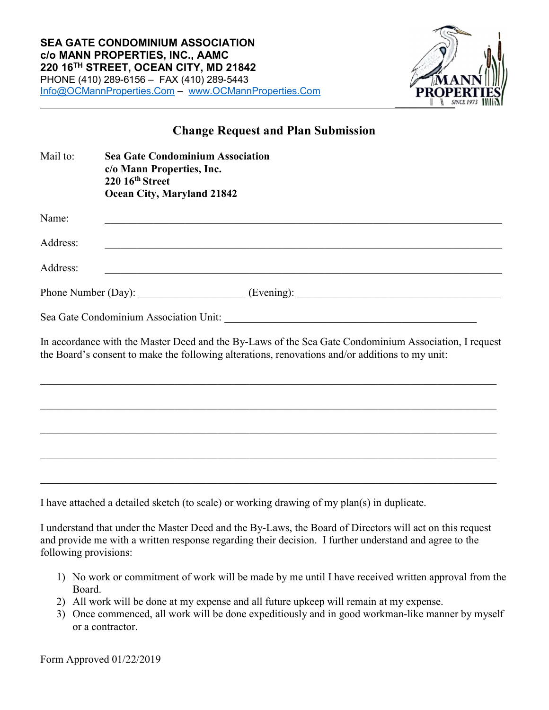

## Change Request and Plan Submission

| Mail to: | <b>Sea Gate Condominium Association</b><br>c/o Mann Properties, Inc.<br>220 16th Street<br>Ocean City, Maryland 21842                                                                                    |
|----------|----------------------------------------------------------------------------------------------------------------------------------------------------------------------------------------------------------|
| Name:    |                                                                                                                                                                                                          |
| Address: | ,我们也不能在这里的时候,我们也不能在这里的时候,我们也不能会在这里的时候,我们也不能会在这里的时候,我们也不能会在这里的时候,我们也不能会在这里的时候,我们也                                                                                                                         |
| Address: |                                                                                                                                                                                                          |
|          |                                                                                                                                                                                                          |
|          |                                                                                                                                                                                                          |
|          | In accordance with the Master Deed and the By-Laws of the Sea Gate Condominium Association, I request<br>the Board's consent to make the following alterations, renovations and/or additions to my unit: |
|          |                                                                                                                                                                                                          |
|          |                                                                                                                                                                                                          |
|          |                                                                                                                                                                                                          |
|          |                                                                                                                                                                                                          |
|          |                                                                                                                                                                                                          |

I have attached a detailed sketch (to scale) or working drawing of my plan(s) in duplicate.

I understand that under the Master Deed and the By-Laws, the Board of Directors will act on this request and provide me with a written response regarding their decision. I further understand and agree to the following provisions:

- 1) No work or commitment of work will be made by me until I have received written approval from the Board.
- 2) All work will be done at my expense and all future upkeep will remain at my expense.
- 3) Once commenced, all work will be done expeditiously and in good workman-like manner by myself or a contractor.